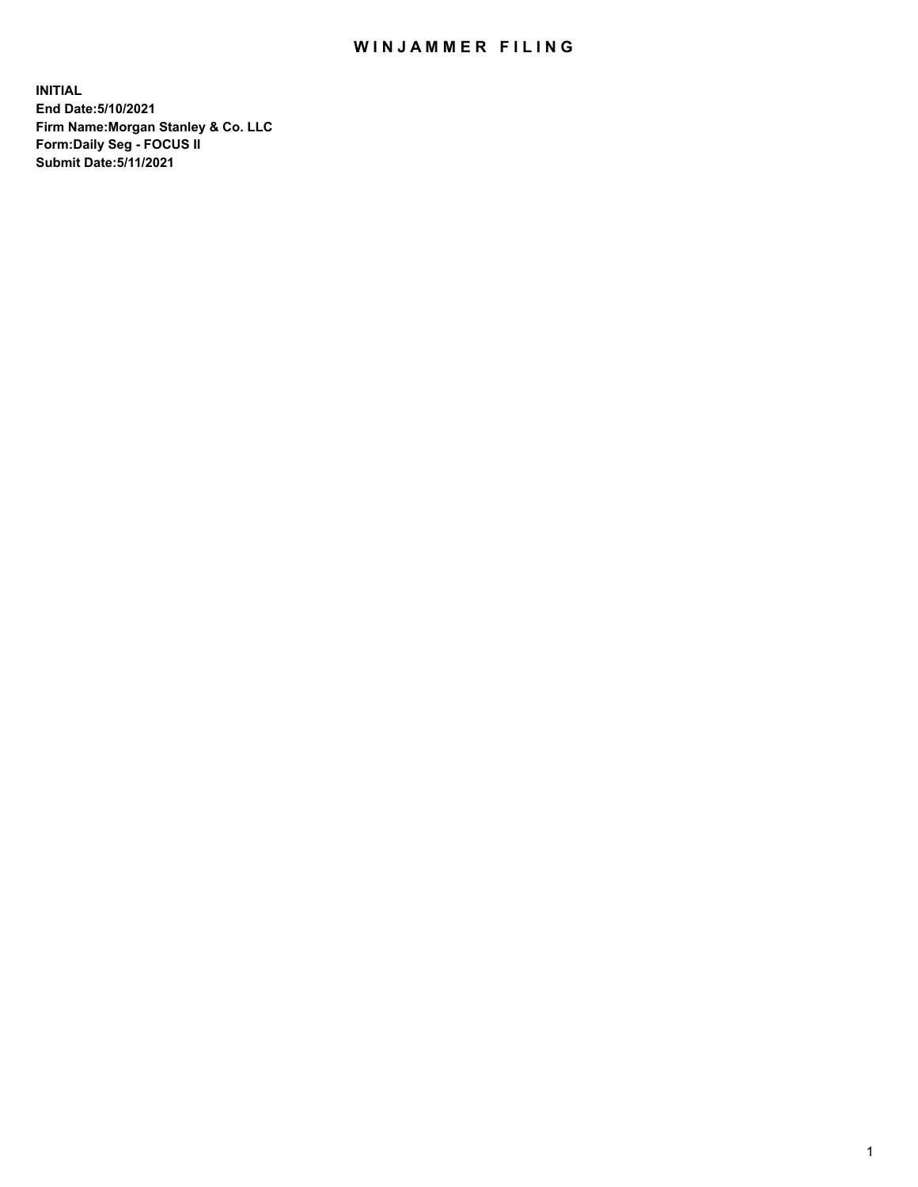## WIN JAMMER FILING

**INITIAL End Date:5/10/2021 Firm Name:Morgan Stanley & Co. LLC Form:Daily Seg - FOCUS II Submit Date:5/11/2021**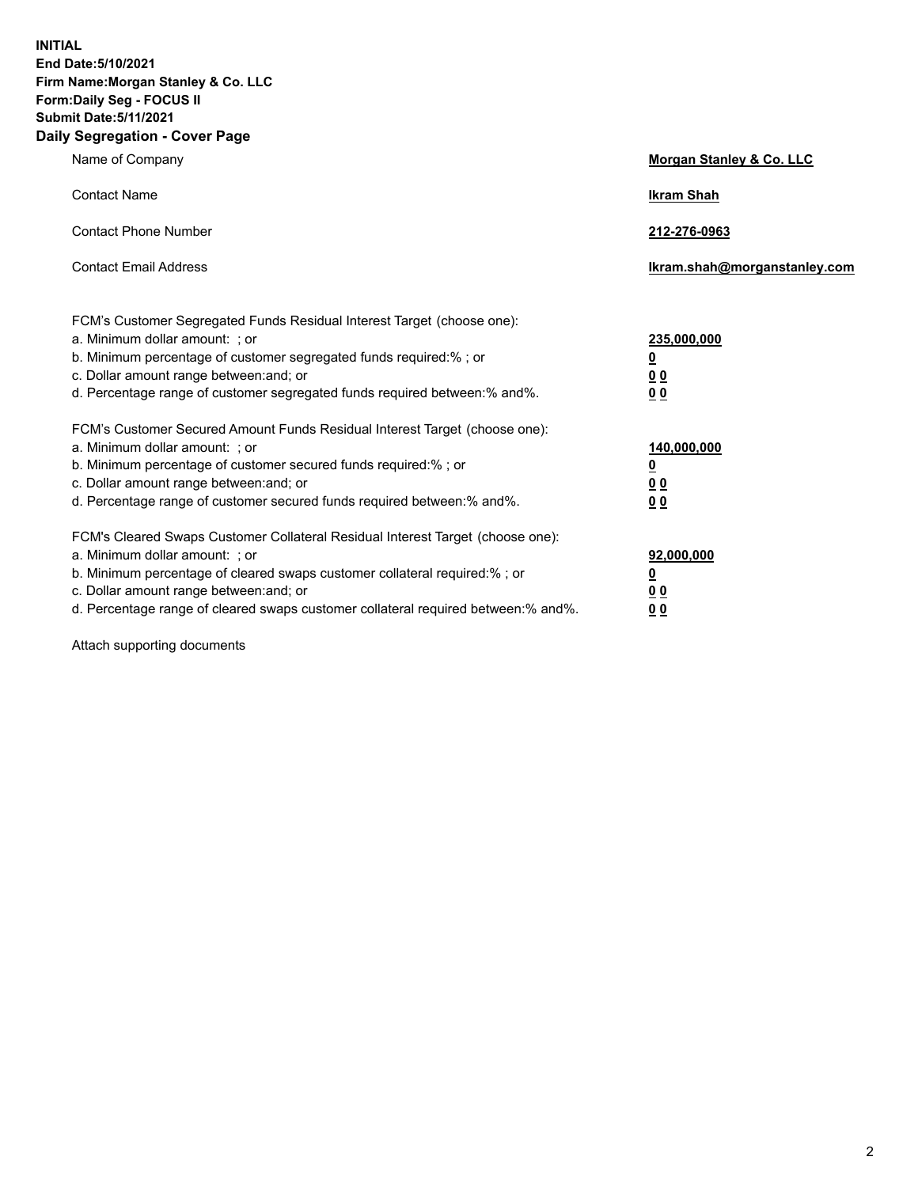**INITIAL End Date:5/10/2021 Firm Name:Morgan Stanley & Co. LLC Form:Daily Seg - FOCUS II Submit Date:5/11/2021 Daily Segregation - Cover Page**

| Name of Company                                                                                                                                                                                                                                                                                                                | Morgan Stanley & Co. LLC                                |
|--------------------------------------------------------------------------------------------------------------------------------------------------------------------------------------------------------------------------------------------------------------------------------------------------------------------------------|---------------------------------------------------------|
| <b>Contact Name</b>                                                                                                                                                                                                                                                                                                            | <b>Ikram Shah</b>                                       |
| <b>Contact Phone Number</b>                                                                                                                                                                                                                                                                                                    | 212-276-0963                                            |
| <b>Contact Email Address</b>                                                                                                                                                                                                                                                                                                   | Ikram.shah@morganstanley.com                            |
| FCM's Customer Segregated Funds Residual Interest Target (choose one):<br>a. Minimum dollar amount: ; or<br>b. Minimum percentage of customer segregated funds required:%; or<br>c. Dollar amount range between: and; or<br>d. Percentage range of customer segregated funds required between: % and %.                        | 235,000,000<br><u>0</u><br>00<br>0 Q                    |
| FCM's Customer Secured Amount Funds Residual Interest Target (choose one):<br>a. Minimum dollar amount: ; or<br>b. Minimum percentage of customer secured funds required:%; or<br>c. Dollar amount range between: and; or<br>d. Percentage range of customer secured funds required between:% and%.                            | 140,000,000<br><u>0</u><br><u>0 0</u><br>0 <sub>0</sub> |
| FCM's Cleared Swaps Customer Collateral Residual Interest Target (choose one):<br>a. Minimum dollar amount: ; or<br>b. Minimum percentage of cleared swaps customer collateral required:% ; or<br>c. Dollar amount range between: and; or<br>d. Percentage range of cleared swaps customer collateral required between:% and%. | 92,000,000<br><u>0</u><br><u>00</u><br>00               |

Attach supporting documents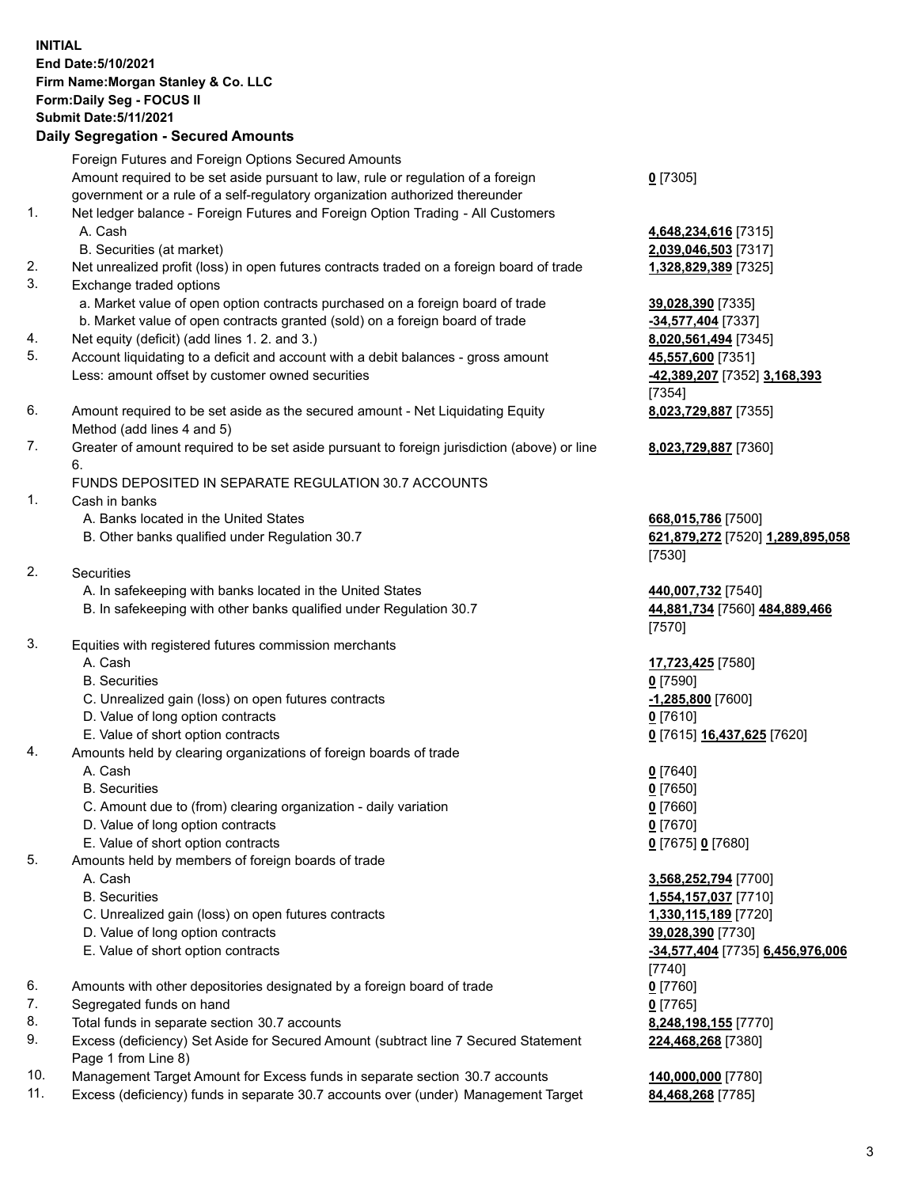## **INITIAL End Date:5/10/2021 Firm Name:Morgan Stanley & Co. LLC Form:Daily Seg - FOCUS II Submit Date:5/11/2021**

**Daily Segregation - Secured Amounts** Foreign Futures and Foreign Options Secured Amounts Amount required to be set aside pursuant to law, rule or regulation of a foreign government or a rule of a self-regulatory organization authorized thereunder 1. Net ledger balance - Foreign Futures and Foreign Option Trading - All Customers A. Cash **4,648,234,616** [7315] B. Securities (at market) **2,039,046,503** [7317] 2. Net unrealized profit (loss) in open futures contracts traded on a foreign board of trade **1,328,829,389** [7325] 3. Exchange traded options a. Market value of open option contracts purchased on a foreign board of trade **39,028,390** [7335] b. Market value of open contracts granted (sold) on a foreign board of trade **-34,577,404** [7337] 4. Net equity (deficit) (add lines 1. 2. and 3.) **8,020,561,494** [7345] 5. Account liquidating to a deficit and account with a debit balances - gross amount **45,557,600** [7351] Less: amount offset by customer owned securities **-42,389,207** [7352] **3,168,393** 6. Amount required to be set aside as the secured amount - Net Liquidating Equity Method (add lines 4 and 5) 7. Greater of amount required to be set aside pursuant to foreign jurisdiction (above) or line 6. FUNDS DEPOSITED IN SEPARATE REGULATION 30.7 ACCOUNTS 1. Cash in banks A. Banks located in the United States **668,015,786** [7500] B. Other banks qualified under Regulation 30.7 **621,879,272** [7520] **1,289,895,058** 2. Securities A. In safekeeping with banks located in the United States **440,007,732** [7540] B. In safekeeping with other banks qualified under Regulation 30.7 **44,881,734** [7560] **484,889,466** 3. Equities with registered futures commission merchants A. Cash **17,723,425** [7580] B. Securities **0** [7590] C. Unrealized gain (loss) on open futures contracts **-1,285,800** [7600] D. Value of long option contracts **0** [7610]

- 
- 4. Amounts held by clearing organizations of foreign boards of trade
	-
	- B. Securities **0** [7650]
	- C. Amount due to (from) clearing organization daily variation **0** [7660]
	- D. Value of long option contracts **0** [7670]
	- E. Value of short option contracts **0** [7675] **0** [7680]
- 5. Amounts held by members of foreign boards of trade
	-
	-
	- C. Unrealized gain (loss) on open futures contracts **1,330,115,189** [7720]
	- D. Value of long option contracts **39,028,390** [7730]
	-
- 6. Amounts with other depositories designated by a foreign board of trade **0** [7760]
- 7. Segregated funds on hand **0** [7765]
- 8. Total funds in separate section 30.7 accounts **8,248,198,155** [7770]
- 9. Excess (deficiency) Set Aside for Secured Amount (subtract line 7 Secured Statement Page 1 from Line 8)
- 10. Management Target Amount for Excess funds in separate section 30.7 accounts **140,000,000** [7780]
- 11. Excess (deficiency) funds in separate 30.7 accounts over (under) Management Target **84,468,268** [7785]

**0** [7305]

[7354] **8,023,729,887** [7355]

**8,023,729,887** [7360]

[7530]

[7570]

E. Value of short option contracts **0** [7615] **16,437,625** [7620]

A. Cash **0** [7640]

 A. Cash **3,568,252,794** [7700] B. Securities **1,554,157,037** [7710] E. Value of short option contracts **-34,577,404** [7735] **6,456,976,006** [7740] **224,468,268** [7380]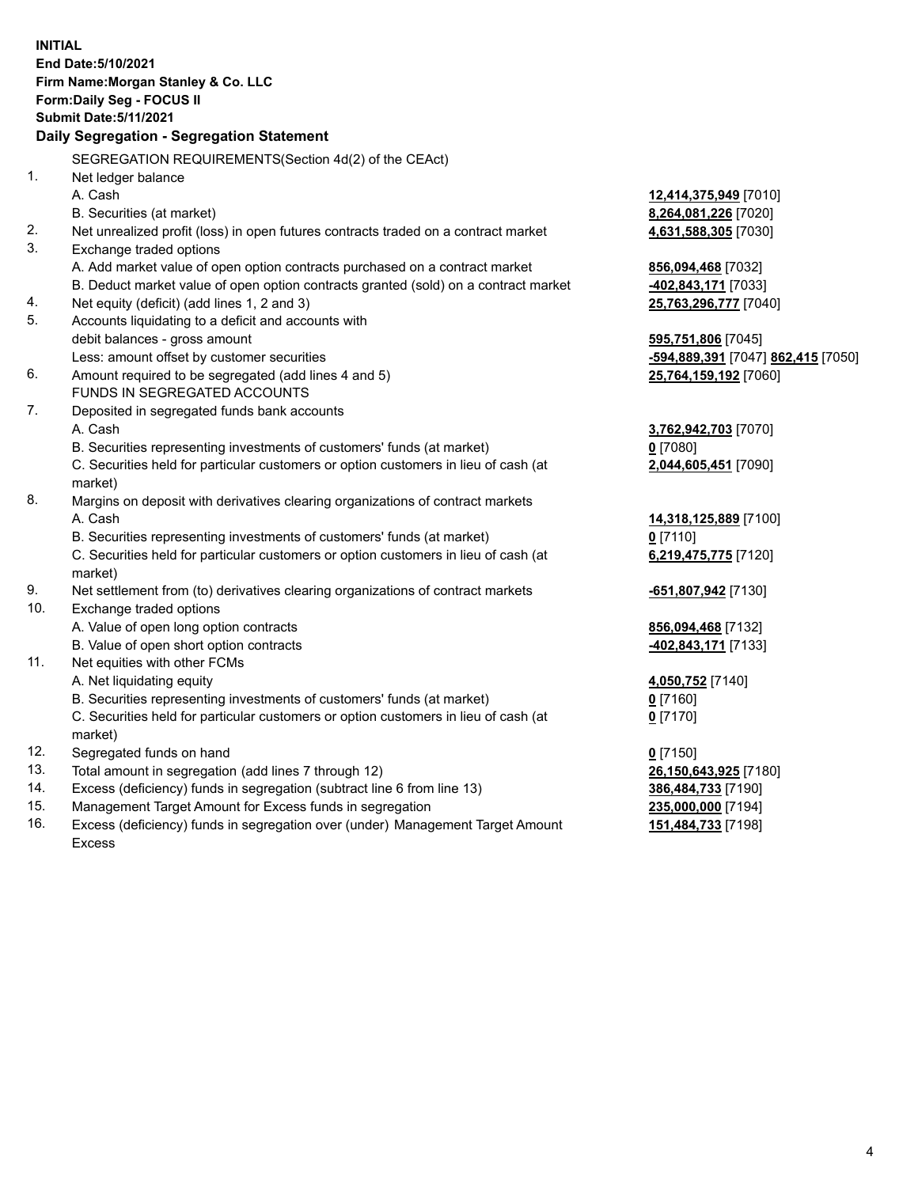**INITIAL End Date:5/10/2021 Firm Name:Morgan Stanley & Co. LLC Form:Daily Seg - FOCUS II Submit Date:5/11/2021 Daily Segregation - Segregation Statement** SEGREGATION REQUIREMENTS(Section 4d(2) of the CEAct) 1. Net ledger balance A. Cash **12,414,375,949** [7010] B. Securities (at market) **8,264,081,226** [7020] 2. Net unrealized profit (loss) in open futures contracts traded on a contract market **4,631,588,305** [7030] 3. Exchange traded options A. Add market value of open option contracts purchased on a contract market **856,094,468** [7032] B. Deduct market value of open option contracts granted (sold) on a contract market **-402,843,171** [7033] 4. Net equity (deficit) (add lines 1, 2 and 3) **25,763,296,777** [7040] 5. Accounts liquidating to a deficit and accounts with debit balances - gross amount **595,751,806** [7045] Less: amount offset by customer securities **-594,889,391** [7047] **862,415** [7050] 6. Amount required to be segregated (add lines 4 and 5) **25,764,159,192** [7060] FUNDS IN SEGREGATED ACCOUNTS 7. Deposited in segregated funds bank accounts A. Cash **3,762,942,703** [7070] B. Securities representing investments of customers' funds (at market) **0** [7080] C. Securities held for particular customers or option customers in lieu of cash (at market) **2,044,605,451** [7090] 8. Margins on deposit with derivatives clearing organizations of contract markets A. Cash **14,318,125,889** [7100] B. Securities representing investments of customers' funds (at market) **0** [7110] C. Securities held for particular customers or option customers in lieu of cash (at market) **6,219,475,775** [7120] 9. Net settlement from (to) derivatives clearing organizations of contract markets **-651,807,942** [7130] 10. Exchange traded options A. Value of open long option contracts **856,094,468** [7132] B. Value of open short option contracts **-402,843,171** [7133] 11. Net equities with other FCMs A. Net liquidating equity **4,050,752** [7140] B. Securities representing investments of customers' funds (at market) **0** [7160] C. Securities held for particular customers or option customers in lieu of cash (at market) **0** [7170] 12. Segregated funds on hand **0** [7150] 13. Total amount in segregation (add lines 7 through 12) **26,150,643,925** [7180] 14. Excess (deficiency) funds in segregation (subtract line 6 from line 13) **386,484,733** [7190] 15. Management Target Amount for Excess funds in segregation **235,000,000** [7194]

16. Excess (deficiency) funds in segregation over (under) Management Target Amount Excess

## **151,484,733** [7198]